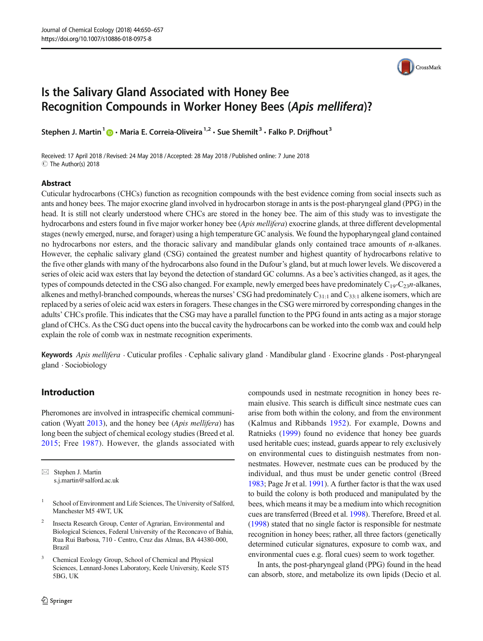

# Is the Salivary Gland Associated with Honey Bee Recognition Compounds in Worker Honey Bees (Apis mellifera)?

Stephen J. Martin<sup>1</sup>  $\cdot$  Maria E. Correia-Oliveira<sup>1,2</sup>  $\cdot$  Sue Shemilt<sup>3</sup>  $\cdot$  Falko P. Drijfhout<sup>3</sup>

Received: 17 April 2018 / Revised: 24 May 2018 /Accepted: 28 May 2018 /Published online: 7 June 2018  $\circledcirc$  The Author(s) 2018

#### Abstract

Cuticular hydrocarbons (CHCs) function as recognition compounds with the best evidence coming from social insects such as ants and honey bees. The major exocrine gland involved in hydrocarbon storage in ants is the post-pharyngeal gland (PPG) in the head. It is still not clearly understood where CHCs are stored in the honey bee. The aim of this study was to investigate the hydrocarbons and esters found in five major worker honey bee (Apis mellifera) exocrine glands, at three different developmental stages (newly emerged, nurse, and forager) using a high temperature GC analysis. We found the hypopharyngeal gland contained no hydrocarbons nor esters, and the thoracic salivary and mandibular glands only contained trace amounts of *n*-alkanes. However, the cephalic salivary gland (CSG) contained the greatest number and highest quantity of hydrocarbons relative to the five other glands with many of the hydrocarbons also found in the Dufour's gland, but at much lower levels. We discovered a series of oleic acid wax esters that lay beyond the detection of standard GC columns. As a bee's activities changed, as it ages, the types of compounds detected in the CSG also changed. For example, newly emerged bees have predominately  $C_{19}-C_{23}n$ -alkanes, alkenes and methyl-branched compounds, whereas the nurses' CSG had predominately  $C_{31:1}$  and  $C_{33:1}$  alkene isomers, which are replaced by a series of oleic acid wax esters in foragers. These changes in the CSG were mirrored by corresponding changes in the adults' CHCs profile. This indicates that the CSG may have a parallel function to the PPG found in ants acting as a major storage gland of CHCs. As the CSG duct opens into the buccal cavity the hydrocarbons can be worked into the comb wax and could help explain the role of comb wax in nestmate recognition experiments.

Keywords Apis mellifera  $\cdot$  Cuticular profiles  $\cdot$  Cephalic salivary gland  $\cdot$  Mandibular gland  $\cdot$  Exocrine glands  $\cdot$  Post-pharyngeal gland . Sociobiology

#### Introduction

Pheromones are involved in intraspecific chemical communication (Wyatt [2013\)](#page-7-0), and the honey bee (Apis mellifera) has long been the subject of chemical ecology studies (Breed et al. [2015;](#page-6-0) Free [1987\)](#page-6-0). However, the glands associated with

 $\boxtimes$  Stephen J. Martin [s.j.martin@salford.ac.uk](mailto:s.j.martin@salford.ac.uk)

- <sup>1</sup> School of Environment and Life Sciences, The University of Salford, Manchester M5 4WT, UK
- <sup>2</sup> Insecta Research Group, Center of Agrarian, Environmental and Biological Sciences, Federal University of the Reconcavo of Bahia, Rua Rui Barbosa, 710 - Centro, Cruz das Almas, BA 44380-000, Brazil
- <sup>3</sup> Chemical Ecology Group, School of Chemical and Physical Sciences, Lennard-Jones Laboratory, Keele University, Keele ST5 5BG, UK

compounds used in nestmate recognition in honey bees remain elusive. This search is difficult since nestmate cues can arise from both within the colony, and from the environment (Kalmus and Ribbands [1952](#page-7-0)). For example, Downs and Ratnieks ([1999\)](#page-6-0) found no evidence that honey bee guards used heritable cues; instead, guards appear to rely exclusively on environmental cues to distinguish nestmates from nonnestmates. However, nestmate cues can be produced by the individual, and thus must be under genetic control (Breed [1983;](#page-6-0) Page Jr et al. [1991](#page-7-0)). A further factor is that the wax used to build the colony is both produced and manipulated by the bees, which means it may be a medium into which recognition cues are transferred (Breed et al. [1998\)](#page-6-0). Therefore, Breed et al. [\(1998\)](#page-6-0) stated that no single factor is responsible for nestmate recognition in honey bees; rather, all three factors (genetically determined cuticular signatures, exposure to comb wax, and environmental cues e.g. floral cues) seem to work together.

In ants, the post-pharyngeal gland (PPG) found in the head can absorb, store, and metabolize its own lipids (Decio et al.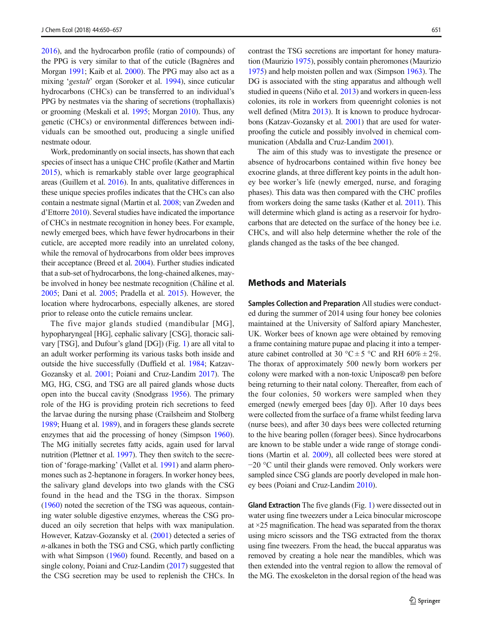[2016\)](#page-6-0), and the hydrocarbon profile (ratio of compounds) of the PPG is very similar to that of the cuticle (Bagnères and Morgan [1991](#page-6-0); Kaib et al. [2000\)](#page-7-0). The PPG may also act as a mixing 'gestalt' organ (Soroker et al. [1994](#page-7-0)), since cuticular hydrocarbons (CHCs) can be transferred to an individual's PPG by nestmates via the sharing of secretions (trophallaxis) or grooming (Meskali et al. [1995](#page-7-0); Morgan [2010](#page-7-0)). Thus, any genetic (CHCs) or environmental differences between individuals can be smoothed out, producing a single unified nestmate odour.

Work, predominantly on social insects, has shown that each species of insect has a unique CHC profile (Kather and Martin [2015\)](#page-7-0), which is remarkably stable over large geographical areas (Guillem et al. [2016\)](#page-6-0). In ants, qualitative differences in these unique species profiles indicates that the CHCs can also contain a nestmate signal (Martin et al. [2008;](#page-7-0) van Zweden and d'Ettorre [2010](#page-7-0)). Several studies have indicated the importance of CHCs in nestmate recognition in honey bees. For example, newly emerged bees, which have fewer hydrocarbons in their cuticle, are accepted more readily into an unrelated colony, while the removal of hydrocarbons from older bees improves their acceptance (Breed et al. [2004](#page-6-0)). Further studies indicated that a sub-set of hydrocarbons, the long-chained alkenes, maybe involved in honey bee nestmate recognition (Châline et al. [2005;](#page-6-0) Dani et al. [2005](#page-6-0); Pradella et al. [2015\)](#page-7-0). However, the location where hydrocarbons, especially alkenes, are stored prior to release onto the cuticle remains unclear.

The five major glands studied (mandibular [MG], hypopharyngeal [HG], cephalic salivary [CSG], thoracic salivary [TSG], and Dufour's gland [DG]) (Fig. [1](#page-2-0)) are all vital to an adult worker performing its various tasks both inside and outside the hive successfully (Duffield et al. [1984](#page-6-0); Katzav-Gozansky et al. [2001;](#page-7-0) Poiani and Cruz-Landim [2017\)](#page-7-0). The MG, HG, CSG, and TSG are all paired glands whose ducts open into the buccal cavity (Snodgrass [1956](#page-7-0)). The primary role of the HG is providing protein rich secretions to feed the larvae during the nursing phase (Crailsheim and Stolberg [1989;](#page-6-0) Huang et al. [1989\)](#page-7-0), and in foragers these glands secrete enzymes that aid the processing of honey (Simpson [1960](#page-7-0)). The MG initially secretes fatty acids, again used for larval nutrition (Plettner et al. [1997\)](#page-7-0). They then switch to the secretion of 'forage-marking' (Vallet et al. [1991\)](#page-7-0) and alarm pheromones such as 2-heptanone in foragers. In worker honey bees, the salivary gland develops into two glands with the CSG found in the head and the TSG in the thorax. Simpson [\(1960\)](#page-7-0) noted the secretion of the TSG was aqueous, containing water soluble digestive enzymes, whereas the CSG produced an oily secretion that helps with wax manipulation. However, Katzav-Gozansky et al. ([2001](#page-7-0)) detected a series of n-alkanes in both the TSG and CSG, which partly conflicting with what Simpson [\(1960](#page-7-0)) found. Recently, and based on a single colony, Poiani and Cruz-Landim ([2017](#page-7-0)) suggested that the CSG secretion may be used to replenish the CHCs. In

contrast the TSG secretions are important for honey maturation (Maurizio [1975](#page-7-0)), possibly contain pheromones (Maurizio [1975\)](#page-7-0) and help moisten pollen and wax (Simpson [1963](#page-7-0)). The DG is associated with the sting apparatus and although well studied in queens (Niño et al. [2013](#page-7-0)) and workers in queen-less colonies, its role in workers from queenright colonies is not well defined (Mitra [2013](#page-7-0)). It is known to produce hydrocarbons (Katzav-Gozansky et al. [2001\)](#page-7-0) that are used for waterproofing the cuticle and possibly involved in chemical communication (Abdalla and Cruz-Landim [2001\)](#page-6-0).

The aim of this study was to investigate the presence or absence of hydrocarbons contained within five honey bee exocrine glands, at three different key points in the adult honey bee worker's life (newly emerged, nurse, and foraging phases). This data was then compared with the CHC profiles from workers doing the same tasks (Kather et al. [2011\)](#page-7-0). This will determine which gland is acting as a reservoir for hydrocarbons that are detected on the surface of the honey bee i.e. CHCs, and will also help determine whether the role of the glands changed as the tasks of the bee changed.

## Methods and Materials

Samples Collection and Preparation All studies were conducted during the summer of 2014 using four honey bee colonies maintained at the University of Salford apiary Manchester, UK. Worker bees of known age were obtained by removing a frame containing mature pupae and placing it into a temperature cabinet controlled at 30 °C  $\pm$  5 °C and RH 60%  $\pm$  2%. The thorax of approximately 500 newly born workers per colony were marked with a non-toxic Uniposca® pen before being returning to their natal colony. Thereafter, from each of the four colonies, 50 workers were sampled when they emerged (newly emerged bees [day 0]). After 10 days bees were collected from the surface of a frame whilst feeding larva (nurse bees), and after 30 days bees were collected returning to the hive bearing pollen (forager bees). Since hydrocarbons are known to be stable under a wide range of storage conditions (Martin et al. [2009](#page-7-0)), all collected bees were stored at −20 °C until their glands were removed. Only workers were sampled since CSG glands are poorly developed in male honey bees (Poiani and Cruz-Landim [2010](#page-7-0)).

Gland Extraction The five glands (Fig. [1](#page-2-0)) were dissected out in water using fine tweezers under a Leica binocular microscope at ×25 magnification. The head was separated from the thorax using micro scissors and the TSG extracted from the thorax using fine tweezers. From the head, the buccal apparatus was removed by creating a hole near the mandibles, which was then extended into the ventral region to allow the removal of the MG. The exoskeleton in the dorsal region of the head was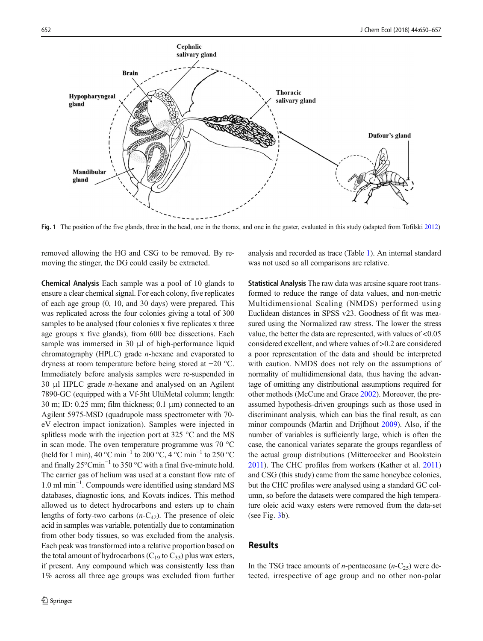<span id="page-2-0"></span>

Fig. 1 The position of the five glands, three in the head, one in the thorax, and one in the gaster, evaluated in this study (adapted from Tofilski [2012](#page-7-0))

removed allowing the HG and CSG to be removed. By removing the stinger, the DG could easily be extracted.

Chemical Analysis Each sample was a pool of 10 glands to ensure a clear chemical signal. For each colony, five replicates of each age group (0, 10, and 30 days) were prepared. This was replicated across the four colonies giving a total of 300 samples to be analysed (four colonies x five replicates x three age groups x five glands), from 600 bee dissections. Each sample was immersed in 30 μl of high-performance liquid chromatography (HPLC) grade n-hexane and evaporated to dryness at room temperature before being stored at −20 °C. Immediately before analysis samples were re-suspended in 30 μl HPLC grade n-hexane and analysed on an Agilent 7890-GC (equipped with a Vf-5ht UltiMetal column; length: 30 m; ID: 0.25 mm; film thickness; 0.1  $\mu$ m) connected to an Agilent 5975-MSD (quadrupole mass spectrometer with 70 eV electron impact ionization). Samples were injected in splitless mode with the injection port at 325  $\degree$ C and the MS in scan mode. The oven temperature programme was 70 °C (held for 1 min), 40 °C min<sup>-1</sup> to 200 °C, 4 °C min<sup>-1</sup> to 250 °C and finally 25°Cmin−<sup>1</sup> to 350 °C with a final five-minute hold. The carrier gas of helium was used at a constant flow rate of 1.0 ml min−<sup>1</sup> . Compounds were identified using standard MS databases, diagnostic ions, and Kovats indices. This method allowed us to detect hydrocarbons and esters up to chain lengths of forty-two carbons  $(n-C_{42})$ . The presence of oleic acid in samples was variable, potentially due to contamination from other body tissues, so was excluded from the analysis. Each peak was transformed into a relative proportion based on the total amount of hydrocarbons ( $C_{19}$  to  $C_{33}$ ) plus wax esters, if present. Any compound which was consistently less than 1% across all three age groups was excluded from further

analysis and recorded as trace (Table [1\)](#page-3-0). An internal standard was not used so all comparisons are relative.

Statistical Analysis The raw data was arcsine square root transformed to reduce the range of data values, and non-metric Multidimensional Scaling (NMDS) performed using Euclidean distances in SPSS v23. Goodness of fit was measured using the Normalized raw stress. The lower the stress value, the better the data are represented, with values of <0.05 considered excellent, and where values of >0.2 are considered a poor representation of the data and should be interpreted with caution. NMDS does not rely on the assumptions of normality of multidimensional data, thus having the advantage of omitting any distributional assumptions required for other methods (McCune and Grace [2002](#page-7-0)). Moreover, the preassumed hypothesis-driven groupings such as those used in discriminant analysis, which can bias the final result, as can minor compounds (Martin and Drijfhout [2009](#page-7-0)). Also, if the number of variables is sufficiently large, which is often the case, the canonical variates separate the groups regardless of the actual group distributions (Mitteroecker and Bookstein [2011](#page-7-0)). The CHC profiles from workers (Kather et al. [2011](#page-7-0)) and CSG (this study) came from the same honeybee colonies, but the CHC profiles were analysed using a standard GC column, so before the datasets were compared the high temperature oleic acid waxy esters were removed from the data-set (see Fig. [3](#page-4-0)b).

## **Results**

In the TSG trace amounts of *n*-pentacosane  $(n-C_{25})$  were detected, irrespective of age group and no other non-polar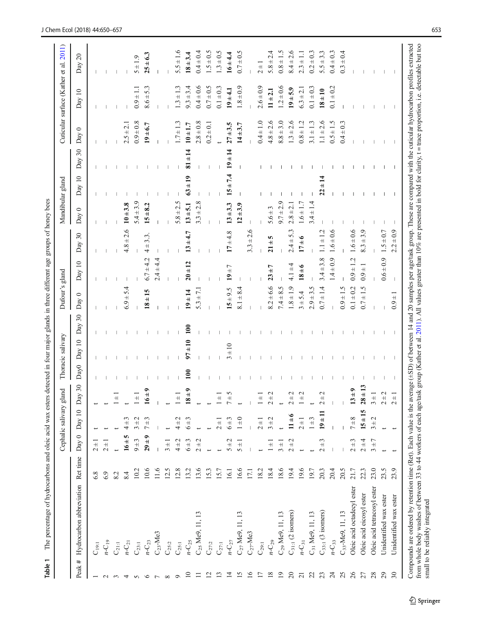<span id="page-3-0"></span>

|                          |                             |          |                                               | Cephalic salivary                                   | gland                             |                  | Thoracic salivary      |              | Dufour's gland |               |                                  | Mandibular gland |              |               |                | Cuticular surface (Kather et al. | 2011)                 |
|--------------------------|-----------------------------|----------|-----------------------------------------------|-----------------------------------------------------|-----------------------------------|------------------|------------------------|--------------|----------------|---------------|----------------------------------|------------------|--------------|---------------|----------------|----------------------------------|-----------------------|
| #<br>Peak                | Hydrocarbon abbreviation    | Ret time | Day 0                                         | $\equiv$<br>$\mathop{\operatorname {Day}}\nolimits$ | $\log 30$                         | Day <sub>0</sub> | $\overline{10}$<br>Day | Day 30       | $\circ$<br>Day | Day 10        | 30<br>Day                        | $\circ$<br>Day   | Day 10       | $30\,$<br>Day | $\circ$<br>Day | Day 10                           | $\overline{c}$<br>Day |
| $\overline{\phantom{0}}$ | $C_{19;1}$                  | 6.8      | $2 +$                                         |                                                     |                                   |                  |                        |              |                |               |                                  |                  |              |               |                |                                  |                       |
| $\sim$                   | $n-C_{19}$                  | 6.9      | $2 +$                                         |                                                     |                                   |                  |                        |              |                |               |                                  |                  |              |               |                |                                  |                       |
| $\sim$                   | $C_{21:1}$                  | 8.2      | $\leftarrow$                                  |                                                     | $\overline{+}$                    |                  |                        |              |                |               |                                  |                  |              |               |                |                                  |                       |
| 4                        | $n\text{-}C_{21}$           | 8.4      | $16 + 5$                                      | $\mathfrak{c}$<br>$\overline{+}$<br>4               |                                   |                  |                        |              | $6.9 \pm 5.4$  |               | $4.8 \pm 2.6$                    | $10 + 3.8$       |              |               | $2.5 \pm 2.1$  |                                  |                       |
| $\Omega$                 | $C_{23:1}$                  | 10.2     | $9 \pm 3$                                     | $\mathbf{C}$<br>$\overline{+}$<br>3                 | $\overline{+}$                    |                  |                        |              |                |               |                                  | $5.4 \pm 3.9$    |              |               | $0.9 \pm 0.8$  | $0.9 \pm 1.1$                    | $5 + 1.9$             |
| $\circ$                  | $n - C_{23}$                | 10.6     | $29 \pm 9$                                    | $\mathfrak{c}$<br>$^{\rm +}$                        | $6 \pm 0$                         |                  |                        |              | $18 \pm 15$    | $6.7 + 4.2$   | 3.3.<br>$+$<br>4                 | $15 + 8.2$       |              |               | $19 + 6.7$     | 5.3<br>$8.6 \pm 1$               | $25 + 6.3$            |
|                          | $C_{23}$ -Me3               | 11.6     |                                               |                                                     |                                   |                  |                        |              |                | $2.4 \pm 4.4$ |                                  |                  |              |               |                |                                  |                       |
| $\infty$                 | $\mathbf{C}_{25:2}$         | 12.5     | $3 \pm 1$                                     |                                                     |                                   |                  |                        |              |                |               |                                  |                  |              |               |                |                                  |                       |
| $\circ$                  | $C_{\rm 251}$               | 12.8     | $\mathbf{\sim}$<br>$\frac{4}{4}$              | $\mathbf{\sim}$<br>$\frac{4}{4}$                    | $\frac{1}{1}$                     |                  |                        |              |                |               |                                  | $5.8 \pm 2.5$    |              |               | $1.7 \pm 1.3$  | $1.3 \pm 1.3$                    | $5.5 \pm 1.6$         |
| $\Xi$                    | $n-C_{25}$                  | 13.2     | $6 \pm 3$                                     | $\mathfrak{c}$<br>$6 +$                             | $8 \pm 9$                         | $\mathbf{e}$     | $97 + 10$              | $\mathbf{5}$ | $19 \pm 14$    | $20 \pm 12$   | $13 + 4.7$                       | $13 + 5.1$       | $63 \pm 19$  | $81 \pm 14$   | $10 \pm 1.7$   | $9.3 \pm 3.4$                    | $18 + 3.4$            |
| $\equiv$                 | $C_{25}$ Me9, 11, 13        | 13.6     | $\mathbf{\sim}$<br>$2 +$                      |                                                     |                                   |                  |                        |              | $5.3 \pm 7.1$  |               |                                  | $3.3 \pm 2.8$    |              |               | $2.8 \pm 0.8$  | $0.4 + 0.6$                      | $0.4 \pm 0.4$         |
| $\overline{c}$           | $\mathbf{C}_{27:2}$         | 15.3     |                                               |                                                     |                                   |                  |                        |              |                |               |                                  |                  |              |               | $0.2 \pm 0.1$  | $0.7 \pm 0.5$                    | $1.5 \pm 0.5$         |
| $\mathbf{r}$             | $C_{27;1}$                  | 15.7     |                                               | $2 +$                                               | $\frac{1}{1}$                     |                  |                        |              |                |               |                                  |                  |              |               |                | $0.1 \pm 0.3$                    | $1.3 \pm 0.5$         |
| $\overline{4}$           | $n-C_{27}$                  | 16.1     | $5 \pm 2$                                     | $\sim$<br>$\pm 9$                                   | $\zeta$                           |                  | $3 + 10$               |              | $15 + 9.5$     | $19 + 7$      | $17 + 4.8$                       | $13 + 3.3$       | $15 \pm 7.4$ | $19 + 14$     | $27 + 3.5$     | $19 + 4.1$                       | $16 + 4.4$            |
| $\overline{15}$          | $C_{27}$ Me9, 11, 13        | 16.6     | $5 +$                                         | $\circ$<br>$\overline{+}$                           |                                   |                  |                        |              | $8.1 + 8.4$    |               |                                  | $12 + 3.9$       |              |               | $14 + 3.7$     | $1.8 \pm 0.9$                    | $0.7 \pm 0.5$         |
| 16                       | $C27$ -Me3                  | 17.1     |                                               |                                                     |                                   |                  |                        |              |                |               | $3.3 \pm 2.6$                    |                  |              |               |                |                                  |                       |
| $\overline{17}$          | $C_{\rm 29:1}$              | 18.2     |                                               | $2 \pm 1$                                           | $\frac{1}{1}$                     |                  |                        |              |                |               |                                  |                  |              |               | $0.4 \pm 1.0$  | $2.6 \pm 0.9$                    | $2 \pm 1$             |
| $\overline{18}$          | $n-C_{29}$                  | 18.4     | $\overline{+}$                                | $\mathbf{C}$<br>$3 +$                               | $^{+2}$                           |                  |                        |              | $8.2 \pm 6.6$  | $23 + 7$      | $\frac{5}{4}$<br>$\overline{21}$ | $5.6 \pm 3$      |              |               | $4.8 \pm 2.6$  | $11 + 2.1$                       | 4<br>$5.8 \pm 2.$     |
| $\overline{19}$          | $C_{29}$ Me9, 11, 13        | 18.6     | $3 \pm 1$                                     |                                                     |                                   |                  |                        |              | $7.4 \pm 8.5$  |               |                                  | $9.7 \pm 2.9$    |              |               | $8.8 + 3.0$    | $1.2 \pm 0.6$                    | $0.8 \pm 1.5$         |
| $\overline{c}$           | $C_{31:1}$ (2 isomers)      | 19.4     | $\mathbf{C}$<br>$+$<br>$\sim$                 | $11 \pm 6$                                          | $\pm 2$                           |                  |                        |              | $1.8 \pm 1.9$  | $4.1 \pm 4$   | $2.4 + 5.3$                      | $2.8 \pm 2.1$    |              |               | $1.3 \pm 2.6$  | $19 + 5.9$                       | $8.4 \pm 2.6$         |
| $\overline{c}$           | $n - C_{31}$                | 19.6     |                                               | $2 + 1$                                             | $+2$                              |                  |                        |              | $3 + 5.4$      | $18 \pm 6$    | $\frac{6}{1}$<br>$\overline{1}$  | $1.6 \pm 1.7$    |              |               | $0.8 \pm 1.2$  | $6.3 \pm 2.1$                    | $2.3 \pm 1.1$         |
| $\mathfrak{L}$           | $C_3$ , Me9, 11, 13         | 19.7     |                                               | $\epsilon$<br>$\frac{+}{-}$                         |                                   |                  |                        |              | $2.9 + 3.5$    |               |                                  | $3.4 \pm 1.4$    |              |               | $3.1 \pm 1.3$  | $0.1 \pm 0.3$                    | $0.2 \pm 0.3$         |
| 23                       | $C_{33:1}$ (3 isomers)      | 20.3     | $\mathfrak{c}$<br>$\qquad \qquad +$<br>$\sim$ | $\Xi$<br>$\overline{19}$                            | $\stackrel{<}{\pm}$               |                  |                        |              | $0.7 \pm 1.4$  | $3.4 \pm 3.8$ | $1.1 \pm 1.2$                    |                  | $22 \pm 14$  |               | $1.1 \pm 2.6$  | $18 + 10$                        | $5.5 \pm 3.3$         |
| 24                       | $n - C_{33}$                | 20.4     |                                               |                                                     |                                   |                  |                        |              |                | $1.4 \pm 0.9$ | $1.6 \pm 0.6$                    |                  |              |               | $0.5 \pm 1.5$  | $0.1 \pm 0.2$                    | $0.4 + 0.3$           |
| 25                       | $C_{33}$ -Me9, 11, 13       | 20.5     |                                               |                                                     |                                   |                  |                        |              | $0.9 \pm 1.5$  |               |                                  |                  |              |               | $0.4 \pm 0.3$  |                                  | $0.3 \pm 0.4$         |
| 26                       | Oleic acid octadecyl ester  | 21.7     | $\mathfrak{c}$<br>$2 +$                       | $7\pm 8$                                            | $3\pm9$                           |                  |                        |              | $0.1 + 0.2$    | $0.9 \pm 1.2$ | $1.6 \pm 0.6$                    |                  |              |               |                |                                  |                       |
| 27                       | Oleic acid eicosyl ester    | 22.3     | 4<br>$2\pm$                                   | $15 \pm 15$                                         | $.8 + 13$                         |                  |                        |              | $0.7 \pm 1.5$  | $0.9 \pm 1$   | $8.3 + 3.9$                      |                  |              |               |                |                                  |                       |
| 28                       | Oleic acid tetracosyl ester | 23.0     | $\overline{ }$<br>$3 +$                       | $3\pm2$                                             | $\overline{+}$<br>$\sim$          |                  |                        |              |                |               |                                  |                  |              |               |                |                                  |                       |
| 29                       | Unidentified wax ester      | 23.5     |                                               |                                                     | $\pm 2$<br>$\sim$                 |                  |                        |              |                | $0.6 + 0.9$   | $1.5 \pm 0.7$                    |                  |              |               |                |                                  |                       |
| 30                       | ester<br>Unidentified wax   | 23.9     |                                               |                                                     | $\overline{+}$<br>$\mathbf{\sim}$ |                  |                        |              | $0.9 + 1$      |               | $2.2 \pm 0.9$                    |                  |              |               |                |                                  |                       |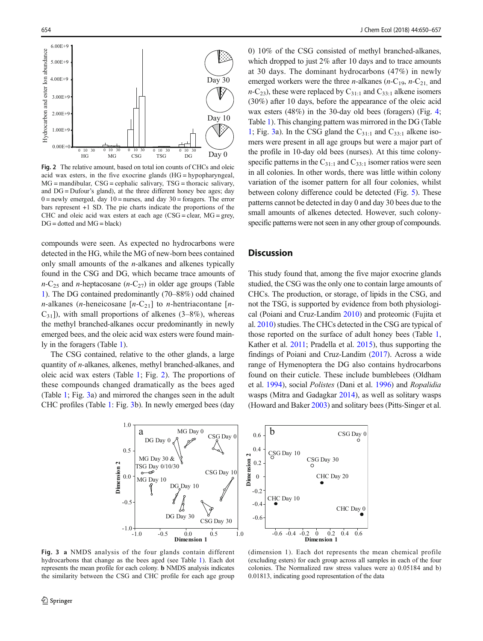<span id="page-4-0"></span>

Fig. 2 The relative amount, based on total ion counts of CHCs and oleic acid wax esters, in the five exocrine glands (HG = hypopharyngeal, MG = mandibular, CSG = cephalic salivary, TSG = thoracic salivary, and DG = Dufour's gland), at the three different honey bee ages; day  $0 =$  newly emerged, day  $10 =$  nurses, and day  $30 =$  foragers. The error bars represent +1 SD. The pie charts indicate the proportions of the CHC and oleic acid wax esters at each age  $(CSG = clear, MG = grey,$  $DG = dotted$  and  $MG = black$ )

compounds were seen. As expected no hydrocarbons were detected in the HG, while the MG of new-born bees contained only small amounts of the n-alkanes and alkenes typically found in the CSG and DG, which became trace amounts of  $n-C_{25}$  and *n*-heptacosane ( $n-C_{27}$ ) in older age groups (Table [1\)](#page-3-0). The DG contained predominantly (70–88%) odd chained *n*-alkanes (*n*-heneicosane  $[n-C_{21}]$  to *n*-hentriacontane  $[n-1]$  $C_{31}$ ]), with small proportions of alkenes (3–8%), whereas the methyl branched-alkanes occur predominantly in newly emerged bees, and the oleic acid wax esters were found mainly in the foragers (Table [1\)](#page-3-0).

The CSG contained, relative to the other glands, a large quantity of n-alkanes, alkenes, methyl branched-alkanes, and oleic acid wax esters (Table [1](#page-3-0); Fig. 2). The proportions of these compounds changed dramatically as the bees aged (Table [1](#page-3-0); Fig. 3a) and mirrored the changes seen in the adult CHC profiles (Table [1:](#page-3-0) Fig. 3b). In newly emerged bees (day 0) 10% of the CSG consisted of methyl branched-alkanes, which dropped to just 2% after 10 days and to trace amounts at 30 days. The dominant hydrocarbons (47%) in newly emerged workers were the three *n*-alkanes (*n*-C<sub>19</sub>, *n*-C<sub>21</sub>, and  $n-C_{23}$ ), these were replaced by  $C_{31:1}$  and  $C_{33:1}$  alkene isomers (30%) after 10 days, before the appearance of the oleic acid wax esters (48%) in the 30-day old bees (foragers) (Fig. [4;](#page-5-0) Table [1](#page-3-0)). This changing pattern was mirrored in the DG (Table [1](#page-3-0); Fig. 3a). In the CSG gland the  $C_{31:1}$  and  $C_{33:1}$  alkene isomers were present in all age groups but were a major part of the profile in 10-day old bees (nurses). At this time colonyspecific patterns in the  $C_{31:1}$  and  $C_{33:1}$  isomer ratios were seen in all colonies. In other words, there was little within colony variation of the isomer pattern for all four colonies, whilst between colony difference could be detected (Fig. [5](#page-5-0)). These patterns cannot be detected in day 0 and day 30 bees due to the small amounts of alkenes detected. However, such colonyspecific patterns were not seen in any other group of compounds.

#### **Discussion**

This study found that, among the five major exocrine glands studied, the CSG was the only one to contain large amounts of CHCs. The production, or storage, of lipids in the CSG, and not the TSG, is supported by evidence from both physiological (Poiani and Cruz-Landim [2010](#page-7-0)) and proteomic (Fujita et al. [2010\)](#page-6-0) studies. The CHCs detected in the CSG are typical of those reported on the surface of adult honey bees (Table [1,](#page-3-0) Kather et al. [2011](#page-7-0); Pradella et al. [2015\)](#page-7-0), thus supporting the findings of Poiani and Cruz-Landim [\(2017\)](#page-7-0). Across a wide range of Hymenoptera the DG also contains hydrocarbons found on their cuticle. These include bumblebees (Oldham et al. [1994](#page-7-0)), social Polistes (Dani et al. [1996\)](#page-6-0) and Ropalidia wasps (Mitra and Gadagkar [2014](#page-7-0)), as well as solitary wasps (Howard and Baker [2003\)](#page-7-0) and solitary bees (Pitts-Singer et al.



Fig. 3 a NMDS analysis of the four glands contain different hydrocarbons that change as the bees aged (see Table [1\)](#page-3-0). Each dot represents the mean profile for each colony. b NMDS analysis indicates the similarity between the CSG and CHC profile for each age group

(dimension 1). Each dot represents the mean chemical profile (excluding esters) for each group across all samples in each of the four colonies. The Normalized raw stress values were a) 0.05184 and b) 0.01813, indicating good representation of the data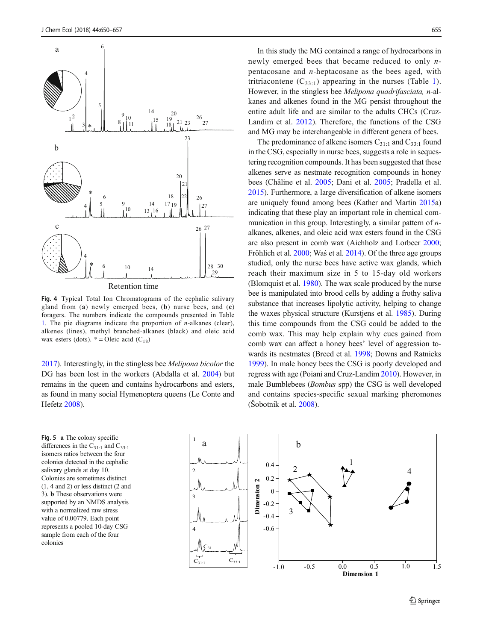<span id="page-5-0"></span>

Fig. 4 Typical Total Ion Chromatograms of the cephalic salivary gland from  $(a)$  newly emerged bees,  $(b)$  nurse bees, and  $(c)$ foragers. The numbers indicate the compounds presented in Table [1](#page-3-0). The pie diagrams indicate the proportion of  $n$ -alkanes (clear), alkenes (lines), methyl branched-alkanes (black) and oleic acid wax esters (dots).  $* =$ Oleic acid (C<sub>18</sub>)

[2017\)](#page-7-0). Interestingly, in the stingless bee Melipona bicolor the DG has been lost in the workers (Abdalla et al. [2004\)](#page-6-0) but remains in the queen and contains hydrocarbons and esters, as found in many social Hymenoptera queens (Le Conte and Hefetz [2008\)](#page-7-0).

Fig. 5 a The colony specific differences in the  $C_{31:1}$  and  $C_{33:1}$ isomers ratios between the four colonies detected in the cephalic salivary glands at day 10. Colonies are sometimes distinct (1, 4 and 2) or less distinct (2 and 3). b These observations were supported by an NMDS analysis with a normalized raw stress value of 0.00779. Each point represents a pooled 10-day CSG sample from each of the four colonies

In this study the MG contained a range of hydrocarbons in newly emerged bees that became reduced to only npentacosane and  $n$ -heptacosane as the bees aged, with tritriacontene  $(C_{33:1})$  $(C_{33:1})$  $(C_{33:1})$  appearing in the nurses (Table 1). However, in the stingless bee Melipona quadrifasciata, n-alkanes and alkenes found in the MG persist throughout the entire adult life and are similar to the adults CHCs (Cruz-Landim et al. [2012](#page-6-0)). Therefore, the functions of the CSG and MG may be interchangeable in different genera of bees.

The predominance of alkene isomers  $C_{31:1}$  and  $C_{33:1}$  found in the CSG, especially in nurse bees, suggests a role in sequestering recognition compounds. It has been suggested that these alkenes serve as nestmate recognition compounds in honey bees (Châline et al. [2005;](#page-6-0) Dani et al. [2005;](#page-6-0) Pradella et al. [2015\)](#page-7-0). Furthermore, a large diversification of alkene isomers are uniquely found among bees (Kather and Martin [2015a](#page-7-0)) indicating that these play an important role in chemical communication in this group. Interestingly, a similar pattern of *n*alkanes, alkenes, and oleic acid wax esters found in the CSG are also present in comb wax (Aichholz and Lorbeer [2000;](#page-6-0) Fröhlich et al. [2000;](#page-6-0) Waś et al. [2014\)](#page-7-0). Of the three age groups studied, only the nurse bees have active wax glands, which reach their maximum size in 5 to 15-day old workers (Blomquist et al. [1980\)](#page-6-0). The wax scale produced by the nurse bee is manipulated into brood cells by adding a frothy saliva substance that increases lipolytic activity, helping to change the waxes physical structure (Kurstjens et al. [1985\)](#page-7-0). During this time compounds from the CSG could be added to the comb wax. This may help explain why cues gained from comb wax can affect a honey bees' level of aggression towards its nestmates (Breed et al. [1998;](#page-6-0) Downs and Ratnieks [1999\)](#page-6-0). In male honey bees the CSG is poorly developed and regress with age (Poiani and Cruz-Landim [2010](#page-7-0)). However, in male Bumblebees (Bombus spp) the CSG is well developed and contains species-specific sexual marking pheromones (Šobotnik et al. [2008](#page-7-0)).

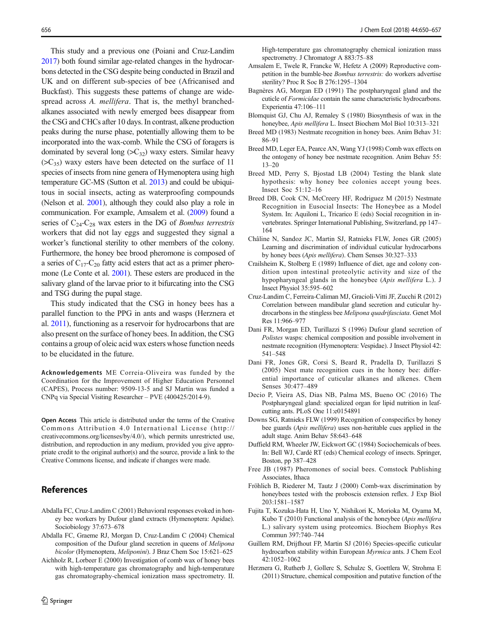<span id="page-6-0"></span>This study and a previous one (Poiani and Cruz-Landim [2017](#page-7-0)) both found similar age-related changes in the hydrocarbons detected in the CSG despite being conducted in Brazil and UK and on different sub-species of bee (Africanised and Buckfast). This suggests these patterns of change are widespread across A. mellifera. That is, the methyl branchedalkanes associated with newly emerged bees disappear from the CSG and CHCs after 10 days. In contrast, alkene production peaks during the nurse phase, potentially allowing them to be incorporated into the wax-comb. While the CSG of foragers is dominated by several long  $(SC_{32})$  waxy esters. Similar heavy  $(SC_{35})$  waxy esters have been detected on the surface of 11 species of insects from nine genera of Hymenoptera using high temperature GC-MS (Sutton et al. [2013](#page-7-0)) and could be ubiquitous in social insects, acting as waterproofing compounds (Nelson et al. [2001\)](#page-7-0), although they could also play a role in communication. For example, Amsalem et al. (2009) found a series of  $C_{24}$ - $C_{28}$  wax esters in the DG of *Bombus terrestris* workers that did not lay eggs and suggested they signal a worker's functional sterility to other members of the colony. Furthermore, the honey bee brood pheromone is composed of a series of  $C_{17}-C_{20}$  fatty acid esters that act as a primer pheromone (Le Conte et al. [2001](#page-7-0)). These esters are produced in the salivary gland of the larvae prior to it bifurcating into the CSG and TSG during the pupal stage.

This study indicated that the CSG in honey bees has a parallel function to the PPG in ants and wasps (Herznera et al. 2011), functioning as a reservoir for hydrocarbons that are also present on the surface of honey bees. In addition, the CSG contains a group of oleic acid wax esters whose function needs to be elucidated in the future.

Acknowledgements ME Correia-Oliveira was funded by the Coordination for the Improvement of Higher Education Personnel (CAPES), Process number: 9509-13-5 and SJ Martin was funded a CNPq via Special Visiting Researcher – PVE (400425/2014-9).

Open Access This article is distributed under the terms of the Creative Commons Attribution 4.0 International License (http:// creativecommons.org/licenses/by/4.0/), which permits unrestricted use, distribution, and reproduction in any medium, provided you give appropriate credit to the original author(s) and the source, provide a link to the Creative Commons license, and indicate if changes were made.

#### References

- Abdalla FC, Cruz-Landim C (2001) Behavioral responses evoked in honey bee workers by Dufour gland extracts (Hymenoptera: Apidae). Sociobiology 37:673–678
- Abdalla FC, Graeme RJ, Morgan D, Cruz-Landim C (2004) Chemical composition of the Dufour gland secretion in queens of Melipona bicolor (Hymenoptera, Meliponini). J Braz Chem Soc 15:621–625
- Aichholz R, Lorbeer E (2000) Investigation of comb wax of honey bees with high-temperature gas chromatography and high-temperature gas chromatography-chemical ionization mass spectrometry. II.

High-temperature gas chromatography chemical ionization mass spectrometry. J Chromatogr A 883:75–88

- Amsalem E, Twele R, Francke W, Hefetz A (2009) Reproductive competition in the bumble-bee Bombus terrestris: do workers advertise sterility? Proc R Soc B 276:1295–1304
- Bagnères AG, Morgan ED (1991) The postpharyngeal gland and the cuticle of Formicidae contain the same characteristic hydrocarbons. Experientia 47:106–111
- Blomquist GJ, Chu AJ, Remaley S (1980) Biosynthesis of wax in the honeybee, Apis mellifera L. Insect Biochem Mol Biol 10:313–321
- Breed MD (1983) Nestmate recognition in honey bees. Anim Behav 31: 86–91
- Breed MD, Leger EA, Pearce AN, Wang YJ (1998) Comb wax effects on the ontogeny of honey bee nestmate recognition. Anim Behav 55: 13–20
- Breed MD, Perry S, Bjostad LB (2004) Testing the blank slate hypothesis: why honey bee colonies accept young bees. Insect Soc 51:12–16
- Breed DB, Cook CN, McCreery HF, Rodriguez M (2015) Nestmate Recognition in Eusocial Insects: The Honeybee as a Model System. In: Aquiloni L, Tricarico E (eds) Social recognition in invertebrates. Springer International Publishing, Switzerland, pp 147– 164
- Châline N, Sandoz JC, Martin SJ, Ratnieks FLW, Jones GR (2005) Learning and discrimination of individual cuticular hydrocarbons by honey bees (Apis mellifera). Chem Senses 30:327–333
- Crailsheim K, Stolberg E (1989) Influence of diet, age and colony condition upon intestinal proteolytic activity and size of the hypopharyngeal glands in the honeybee (Apis mellifera L.). J Insect Physiol 35:595–602
- Cruz-Landim C, Ferreira-Caliman MJ, Gracioli-Vitti JF, Zucchi R (2012) Correlation between mandibular gland secretion and cuticular hydrocarbons in the stingless bee Melipona quadrifasciata. Genet Mol Res 11:966–977
- Dani FR, Morgan ED, Turillazzi S (1996) Dufour gland secretion of Polistes wasps: chemical composition and possible involvement in nestmate recognition (Hymenoptera: Vespidae). J Insect Physiol 42: 541–548
- Dani FR, Jones GR, Corsi S, Beard R, Pradella D, Turillazzi S (2005) Nest mate recognition cues in the honey bee: differential importance of cuticular alkanes and alkenes. Chem Senses 30:477–489
- Decio P, Vieira AS, Dias NB, Palma MS, Bueno OC (2016) The Postpharyngeal gland: specialized organ for lipid nutrition in leafcutting ants. PLoS One 11:e0154891
- Downs SG, Ratnieks FLW (1999) Recognition of conspecifics by honey bee guards (Apis mellifera) uses non-heritable cues applied in the adult stage. Anim Behav 58:643–648
- Duffield RM, Wheeler JW, Eickwort GC (1984) Sociochemicals of bees. In: Bell WJ, Cardé RT (eds) Chemical ecology of insects. Springer, Boston, pp 387–428
- Free JB (1987) Pheromones of social bees. Comstock Publishing Associates, Ithaca
- Fröhlich B, Riederer M, Tautz J (2000) Comb-wax discrimination by honeybees tested with the proboscis extension reflex. J Exp Biol 203:1581–1587
- Fujita T, Kozuka-Hata H, Uno Y, Nishikori K, Morioka M, Oyama M, Kubo T (2010) Functional analysis of the honeybee (Apis mellifera L.) salivary system using proteomics. Biochem Biophys Res Commun 397:740–744
- Guillem RM, Drijfhout FP, Martin SJ (2016) Species-specific cuticular hydrocarbon stability within European Myrmica ants. J Chem Ecol 42:1052–1062
- Herznera G, Rutherb J, Gollerc S, Schulzc S, Goettlera W, Strohma E (2011) Structure, chemical composition and putative function of the